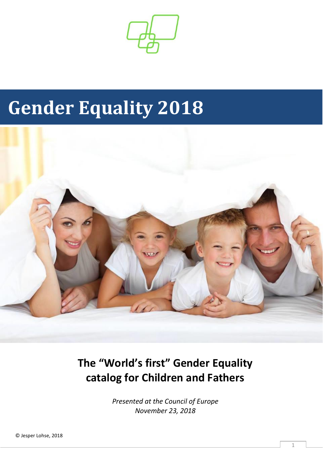

# **Gender Equality 2018**



**The "World's first" Gender Equality catalog for Children and Fathers**

> *Presented at the Council of Europe November 23, 2018*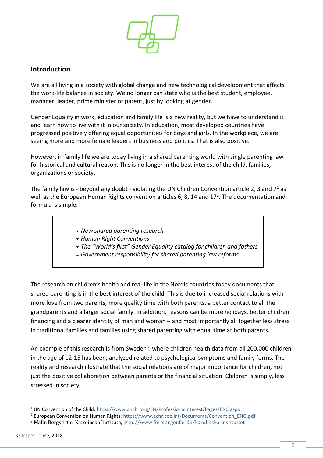

#### <span id="page-1-0"></span>**Introduction**

We are all living in a society with global change and new technological development that affects the work-life balance in society. We no longer can state who is the best student, employee, manager, leader, prime minister or parent, just by looking at gender.

Gender Equality in work, education and family life is a new reality, but we have to understand it and learn how to live with it in our society. In education, most developed countries have progressed positively offering equal opportunities for boys and girls. In the workplace, we are seeing more and more female leaders in business and politics. That is also positive.

However, in family life we are today living in a shared parenting world with single parenting law for historical and cultural reason. This is no longer in the best interest of the child, families, organizations or society.

The family law is - beyond any doubt - violating the UN Children Convention article 2, 3 and  $7<sup>1</sup>$  as well as the European Human Rights convention articles 6, 8, 14 and 17<sup>2</sup>. The documentation and formula is simple:

- *+ New shared parenting research*
- *+ Human Right Conventions*
- *+ The "World's first" Gender Equality catalog for children and fathers*
- *= Government responsibility for shared parenting law reforms*

The research on children's health and real-life in the Nordic countries today documents that shared parenting is in the best interest of the child. This is due to increased social relations with more love from two parents, more quality time with both parents, a better contact to all the grandparents and a larger social family. In addition, reasons can be more holidays, better children financing and a clearer identity of man and woman – and most importantly all together less stress in traditional families and families using shared parenting with equal time at both parents.

An example of this research is from Sweden<sup>3</sup>, where children health data from all 200.000 children in the age of 12-15 has been, analyzed related to psychological symptoms and family forms. The reality and research illustrate that the social relations are of major importance for children, not just the positive collaboration between parents or the financial situation. Children is simply, less stressed in society.

 $\overline{\phantom{a}}$ 

<sup>&</sup>lt;sup>1</sup> UN Convention of the Child:<https://www.ohchr.org/EN/ProfessionalInterest/Pages/CRC.aspx>

<sup>&</sup>lt;sup>2</sup> European Convention on Human Rights: [https://www.echr.coe.int/Documents/Convention\\_ENG.pdf](https://www.echr.coe.int/Documents/Convention_ENG.pdf)

<sup>3</sup> Malin Bergstrøm, Karolinska Institute[, http://www.foreningenfar.dk/karolinska-instituttet](http://www.foreningenfar.dk/karolinska-instituttet)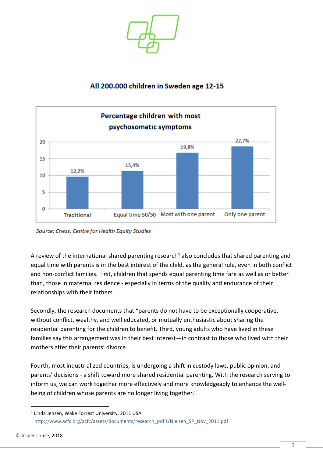

#### All 200.000 children in Sweden age 12-15



Source: Chess, Centre for Health Equity Studies

A review of the international shared parenting research<sup>4</sup> also concludes that shared parenting and equal time with parents is in the best interest of the child, as the general rule, even in both conflict and non-conflict families. First, children that spends equal parenting time fare as well as or better than, those in maternal residence - especially in terms of the quality and endurance of their relationships with their fathers.

Secondly, the research documents that "parents do not have to be exceptionally cooperative, without conflict, wealthy, and well educated, or mutually enthusiastic about sharing the residential parenting for the children to benefit. Third, young adults who have lived in these families say this arrangement was in their best interest—in contrast to those who lived with their mothers after their parents' divorce.

Fourth, most industrialized countries, is undergoing a shift in custody laws, public opinion, and parents' decisions - a shift toward more shared residential parenting. With the research serving to inform us, we can work together more effectively and more knowledgeably to enhance the wellbeing of children whose parents are no longer living together."

 $\overline{\phantom{a}}$ 

<sup>4</sup> Linda Jensen, Wake Forrest University, 2011 USA [http://www.acfc.org/acfc/assets/documents/research\\_pdf's/Nielsen\\_SP\\_Nov\\_2011.pdf](http://www.acfc.org/acfc/assets/documents/research_pdf)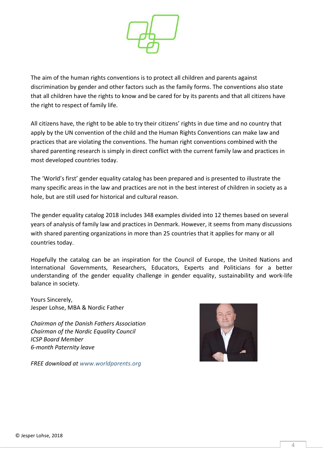

The aim of the human rights conventions is to protect all children and parents against discrimination by gender and other factors such as the family forms. The conventions also state that all children have the rights to know and be cared for by its parents and that all citizens have the right to respect of family life.

All citizens have, the right to be able to try their citizens' rights in due time and no country that apply by the UN convention of the child and the Human Rights Conventions can make law and practices that are violating the conventions. The human right conventions combined with the shared parenting research is simply in direct conflict with the current family law and practices in most developed countries today.

The 'World's first' gender equality catalog has been prepared and is presented to illustrate the many specific areas in the law and practices are not in the best interest of children in society as a hole, but are still used for historical and cultural reason.

The gender equality catalog 2018 includes 348 examples divided into 12 themes based on several years of analysis of family law and practices in Denmark. However, it seems from many discussions with shared parenting organizations in more than 25 countries that it applies for many or all countries today.

Hopefully the catalog can be an inspiration for the Council of Europe, the United Nations and International Governments, Researchers, Educators, Experts and Politicians for a better understanding of the gender equality challenge in gender equality, sustainability and work-life balance in society.

Yours Sincerely, Jesper Lohse, MBA & Nordic Father

*Chairman of the Danish Fathers Association Chairman of the Nordic Equality Council ICSP Board Member 6-month Paternity leave*



*FREE download at [www.worldparents.org](http://www.worldparents.org/)*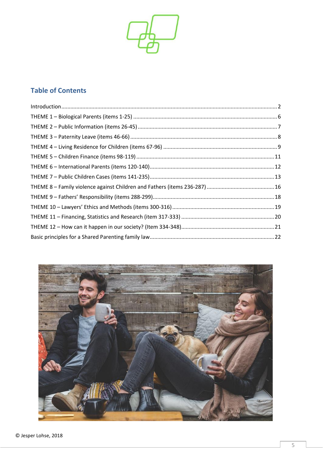

### **Table of Contents**

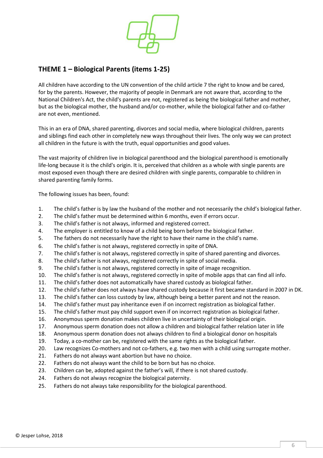

#### <span id="page-5-0"></span>**THEME 1 – Biological Parents (items 1-25)**

All children have according to the UN convention of the child article 7 the right to know and be cared, for by the parents. However, the majority of people in Denmark are not aware that, according to the National Children's Act, the child's parents are not, registered as being the biological father and mother, but as the biological mother, the husband and/or co-mother, while the biological father and co-father are not even, mentioned.

This in an era of DNA, shared parenting, divorces and social media, where biological children, parents and siblings find each other in completely new ways throughout their lives. The only way we can protect all children in the future is with the truth, equal opportunities and good values.

The vast majority of children live in biological parenthood and the biological parenthood is emotionally life-long because it is the child's origin. It is, perceived that children as a whole with single parents are most exposed even though there are desired children with single parents, comparable to children in shared parenting family forms.

- 1. The child's father is by law the husband of the mother and not necessarily the child's biological father.
- 2. The child's father must be determined within 6 months, even if errors occur.
- 3. The child's father is not always, informed and registered correct.
- 4. The employer is entitled to know of a child being born before the biological father.
- 5. The fathers do not necessarily have the right to have their name in the child's name.
- 6. The child's father is not always, registered correctly in spite of DNA.
- 7. The child's father is not always, registered correctly in spite of shared parenting and divorces.
- 8. The child's father is not always, registered correctly in spite of social media.
- 9. The child's father is not always, registered correctly in spite of image recognition.
- 10. The child's father is not always, registered correctly in spite of mobile apps that can find all info.
- 11. The child's father does not automatically have shared custody as biological father.
- 12. The child's father does not always have shared custody because it first became standard in 2007 in DK.
- 13. The child's father can loss custody by law, although being a better parent and not the reason.
- 14. The child's father must pay inheritance even if on incorrect registration as biological father.
- 15. The child's father must pay child support even if on incorrect registration as biological father.
- 16. Anonymous sperm donation makes children live in uncertainty of their biological origin.
- 17. Anonymous sperm donation does not allow a children and biological father relation later in life
- 18. Anonymous sperm donation does not always children to find a biological donor on hospitals
- 19. Today, a co-mother can be, registered with the same rights as the biological father.
- 20. Law recognizes Co-mothers and not co-fathers, e.g. two men with a child using surrogate mother.
- 21. Fathers do not always want abortion but have no choice.
- 22. Fathers do not always want the child to be born but has no choice.
- 23. Children can be, adopted against the father's will, if there is not shared custody.
- 24. Fathers do not always recognize the biological paternity.
- 25. Fathers do not always take responsibility for the biological parenthood.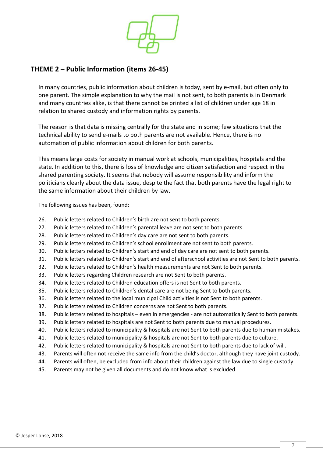

#### <span id="page-6-0"></span>**THEME 2 – Public Information (items 26-45)**

In many countries, public information about children is today, sent by e-mail, but often only to one parent. The simple explanation to why the mail is not sent, to both parents is in Denmark and many countries alike, is that there cannot be printed a list of children under age 18 in relation to shared custody and information rights by parents.

The reason is that data is missing centrally for the state and in some; few situations that the technical ability to send e-mails to both parents are not available. Hence, there is no automation of public information about children for both parents.

This means large costs for society in manual work at schools, municipalities, hospitals and the state. In addition to this, there is loss of knowledge and citizen satisfaction and respect in the shared parenting society. It seems that nobody will assume responsibility and inform the politicians clearly about the data issue, despite the fact that both parents have the legal right to the same information about their children by law.

- 26. Public letters related to Children's birth are not sent to both parents.
- 27. Public letters related to Children's parental leave are not sent to both parents.
- 28. Public letters related to Children's day care are not sent to both parents.
- 29. Public letters related to Children's school enrollment are not sent to both parents.
- 30. Public letters related to Children's start and end of day care are not sent to both parents.
- 31. Public letters related to Children's start and end of afterschool activities are not Sent to both parents.
- 32. Public letters related to Children's health measurements are not Sent to both parents.
- 33. Public letters regarding Children research are not Sent to both parents.
- 34. Public letters related to Children education offers is not Sent to both parents.
- 35. Public letters related to Children's dental care are not being Sent to both parents.
- 36. Public letters related to the local municipal Child activities is not Sent to both parents.
- 37. Public letters related to Children concerns are not Sent to both parents.
- 38. Public letters related to hospitals even in emergencies are not automatically Sent to both parents.
- 39. Public letters related to hospitals are not Sent to both parents due to manual procedures.
- 40. Public letters related to municipality & hospitals are not Sent to both parents due to human mistakes.
- 41. Public letters related to municipality & hospitals are not Sent to both parents due to culture.
- 42. Public letters related to municipality & hospitals are not Sent to both parents due to lack of will.
- 43. Parents will often not receive the same info from the child's doctor, although they have joint custody.
- 44. Parents will often, be excluded from info about their children against the law due to single custody
- 45. Parents may not be given all documents and do not know what is excluded.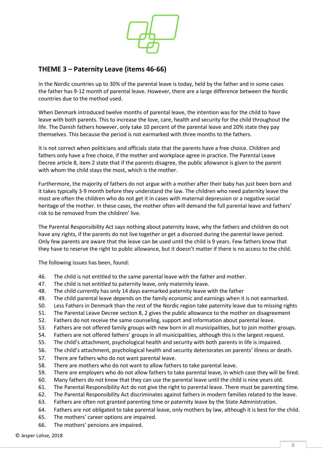

#### <span id="page-7-0"></span>**THEME 3 – Paternity Leave (items 46-66)**

In the Nordic countries up to 30% of the parental leave is today, held by the father and in some cases the father has 9-12 month of parental leave. However, there are a large difference between the Nordic countries due to the method used.

When Denmark introduced twelve months of parental leave, the intention was for the child to have leave with both parents. This to increase the love, care, health and security for the child throughout the life. The Danish fathers however, only take 10 percent of the parental leave and 20% state they pay themselves. This because the period is not earmarked with three months to the fathers.

It is not correct when politicians and officials state that the parents have a free choice. Children and fathers only have a free choice, if the mother and workplace agree in practice. The Parental Leave Decree article 8, item 2 state that if the parents disagree, the public allowance is given to the parent with whom the child stays the most, which is the mother.

Furthermore, the majority of fathers do not argue with a mother after their baby has just been born and it takes typically 3-9 month before they understand the law. The children who need paternity leave the most are often the children who do not get it in cases with maternal depression or a negative social heritage of the mother. In these cases, the mother often will demand the full parental leave and fathers' risk to be removed from the children' live.

The Parental Responsibility Act says nothing about paternity leave, why the fathers and children do not have any rights, if the parents do not live together or get a divorced during the parental leave period. Only few parents are aware that the leave can be used until the child is 9 years. Few fathers know that they have to reserve the right to public allowance, but it doesn't matter if there is no access to the child.

- 46. The child is not entitled to the same parental leave with the father and mother.
- 47. The child is not entitled to paternity leave, only maternity leave.
- 48. The child currently has only 14 days earmarked paternity leave with the father
- 49. The child parental leave depends on the family economic and earnings when it is not earmarked.
- 50. Less Fathers in Denmark than the rest of the Nordic region take paternity leave due to missing rights
- 51. The Parental Leave Decree section 8, 2 gives the public allowance to the mother on disagreement
- 52. Fathers do not receive the same counseling, support and information about parental leave.
- 53. Fathers are not offered family groups with new born in all municipalities, but to join mother groups.
- 54. Fathers are not offered fathers' groups in all municipalities, although this is the largest request.
- 55. The child's attachment, psychological health and security with both parents in life is impaired.
- 56. The child's attachment, psychological health and security deteriorates on parents' illness or death.
- 57. There are fathers who do not want parental leave.
- 58. There are mothers who do not want to allow fathers to take parental leave.
- 59. There are employers who do not allow fathers to take parental leave, in which case they will be fired.
- 60. Many fathers do not know that they can use the parental leave until the child is nine years old.
- 61. The Parental Responsibility Act do not give the right to parental leave. There must be parenting time.
- 62. The Parental Responsibility Act discriminates against fathers in modern families related to the leave.
- 63. Fathers are often not granted parenting time or paternity leave by the State Administration.
- 64. Fathers are not obligated to take parental leave, only mothers by law, although it is best for the child.
- 65. The mothers' career options are impaired.
- 66. The mothers' pensions are impaired.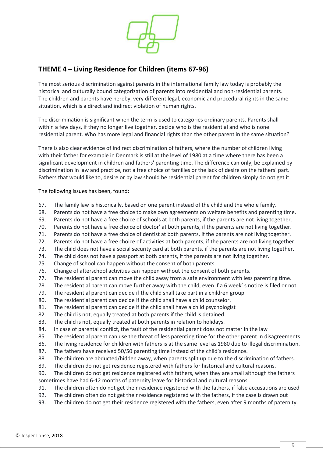

#### <span id="page-8-0"></span>**THEME 4 – Living Residence for Children (items 67-96)**

The most serious discrimination against parents in the international family law today is probably the historical and culturally bound categorization of parents into residential and non-residential parents. The children and parents have hereby, very different legal, economic and procedural rights in the same situation, which is a direct and indirect violation of human rights.

The discrimination is significant when the term is used to categories ordinary parents. Parents shall within a few days, if they no longer live together, decide who is the residential and who is none residential parent. Who has more legal and financial rights than the other parent in the same situation?

There is also clear evidence of indirect discrimination of fathers, where the number of children living with their father for example in Denmark is still at the level of 1980 at a time where there has been a significant development in children and fathers' parenting time. The difference can only, be explained by discrimination in law and practice, not a free choice of families or the lack of desire on the fathers' part. Fathers that would like to, desire or by law should be residential parent for children simply do not get it.

- 67. The family law is historically, based on one parent instead of the child and the whole family.
- 68. Parents do not have a free choice to make own agreements on welfare benefits and parenting time.
- 69. Parents do not have a free choice of schools at both parents, if the parents are not living together.
- 70. Parents do not have a free choice of doctor' at both parents, if the parents are not living together.
- 71. Parents do not have a free choice of dentist at both parents, if the parents are not living together.
- 72. Parents do not have a free choice of activities at both parents, if the parents are not living together.
- 73. The child does not have a social security card at both parents, if the parents are not living together.
- 74. The child does not have a passport at both parents, if the parents are not living together.
- 75. Change of school can happen without the consent of both parents.
- 76. Change of afterschool activities can happen without the consent of both parents.
- 77. The residential parent can move the child away from a safe environment with less parenting time.
- 78. The residential parent can move further away with the child, even if a 6 week' s notice is filed or not.
- 79. The residential parent can decide if the child shall take part in a children group.
- 80. The residential parent can decide if the child shall have a child counselor.
- 81. The residential parent can decide if the child shall have a child psychologist
- 82. The child is not, equally treated at both parents if the child is detained.
- 83. The child is not, equally treated at both parents in relation to holidays.
- 84. In case of parental conflict, the fault of the residential parent does not matter in the law
- 85. The residential parent can use the threat of less parenting time for the other parent in disagreements.
- 86. The living residence for children with fathers is at the same level as 1980 due to illegal discrimination.
- 87. The fathers have received 50/50 parenting time instead of the child's residence.
- 88. The children are abducted/hidden away, when parents split up due to the discrimination of fathers.
- 89. The children do not get residence registered with fathers for historical and cultural reasons.
- 90. The children do not get residence registered with fathers, when they are small although the fathers sometimes have had 6-12 months of paternity leave for historical and cultural reasons.
- 91. The children often do not get their residence registered with the fathers, if false accusations are used
- 92. The children often do not get their residence registered with the fathers, if the case is drawn out
- 93. The children do not get their residence registered with the fathers, even after 9 months of paternity.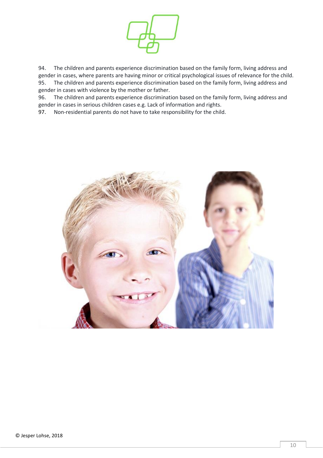

94. The children and parents experience discrimination based on the family form, living address and gender in cases, where parents are having minor or critical psychological issues of relevance for the child. 95. The children and parents experience discrimination based on the family form, living address and gender in cases with violence by the mother or father.

96. The children and parents experience discrimination based on the family form, living address and gender in cases in serious children cases e.g. Lack of information and rights.<br>97. Non-residential parents do not have to take responsibility for the child

Non-residential parents do not have to take responsibility for the child.

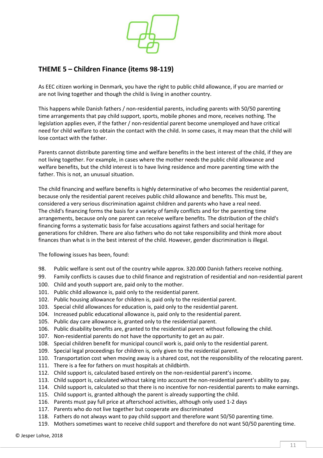

#### <span id="page-10-0"></span>**THEME 5 – Children Finance (items 98-119)**

As EEC citizen working in Denmark, you have the right to public child allowance, if you are married or are not living together and though the child is living in another country.

This happens while Danish fathers / non-residential parents, including parents with 50/50 parenting time arrangements that pay child support, sports, mobile phones and more, receives nothing. The legislation applies even, if the father / non-residential parent become unemployed and have critical need for child welfare to obtain the contact with the child. In some cases, it may mean that the child will lose contact with the father.

Parents cannot distribute parenting time and welfare benefits in the best interest of the child, if they are not living together. For example, in cases where the mother needs the public child allowance and welfare benefits, but the child interest is to have living residence and more parenting time with the father. This is not, an unusual situation.

The child financing and welfare benefits is highly determinative of who becomes the residential parent, because only the residential parent receives public child allowance and benefits. This must be, considered a very serious discrimination against children and parents who have a real need. The child's financing forms the basis for a variety of family conflicts and for the parenting time arrangements, because only one parent can receive welfare benefits. The distribution of the child's financing forms a systematic basis for false accusations against fathers and social heritage for generations for children. There are also fathers who do not take responsibility and think more about finances than what is in the best interest of the child. However, gender discrimination is illegal.

- 98. Public welfare is sent out of the country while approx. 320.000 Danish fathers receive nothing.
- 99. Family conflicts is causes due to child finance and registration of residential and non-residential parent
- 100. Child and youth support are, paid only to the mother.
- 101. Public child allowance is, paid only to the residential parent.
- 102. Public housing allowance for children is, paid only to the residential parent.
- 103. Special child allowances for education is, paid only to the residential parent.
- 104. Increased public educational allowance is, paid only to the residential parent.
- 105. Public day care allowance is, granted only to the residential parent.
- 106. Public disability benefits are, granted to the residential parent without following the child.
- 107. Non-residential parents do not have the opportunity to get an au pair.
- 108. Special children benefit for municipal council work is, paid only to the residential parent.
- 109. Special legal proceedings for children is, only given to the residential parent.
- 110. Transportation cost when moving away is a shared cost, not the responsibility of the relocating parent.
- 111. There is a fee for fathers on must hospitals at childbirth.
- 112. Child support is, calculated based entirely on the non-residential parent's income.
- 113. Child support is, calculated without taking into account the non-residential parent's ability to pay.
- 114. Child support is, calculated so that there is no incentive for non-residential parents to make earnings.
- 115. Child support is, granted although the parent is already supporting the child.
- 116. Parents must pay full price at afterschool activities, although only used 1-2 days
- 117. Parents who do not live together but cooperate are discriminated
- 118. Fathers do not always want to pay child support and therefore want 50/50 parenting time.
- 119. Mothers sometimes want to receive child support and therefore do not want 50/50 parenting time.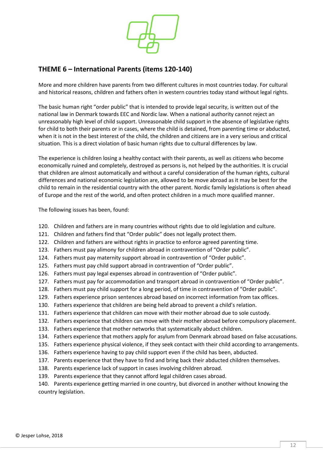

#### <span id="page-11-0"></span>**THEME 6 – International Parents (items 120-140)**

More and more children have parents from two different cultures in most countries today. For cultural and historical reasons, children and fathers often in western countries today stand without legal rights.

The basic human right "order public" that is intended to provide legal security, is written out of the national law in Denmark towards EEC and Nordic law. When a national authority cannot reject an unreasonably high level of child support. Unreasonable child support in the absence of legislative rights for child to both their parents or in cases, where the child is detained, from parenting time or abducted, when it is not in the best interest of the child, the children and citizens are in a very serious and critical situation. This is a direct violation of basic human rights due to cultural differences by law.

The experience is children losing a healthy contact with their parents, as well as citizens who become economically ruined and completely, destroyed as persons is, not helped by the authorities. It is crucial that children are almost automatically and without a careful consideration of the human rights, cultural differences and national economic legislation are, allowed to be move abroad as it may be best for the child to remain in the residential country with the other parent. Nordic family legislations is often ahead of Europe and the rest of the world, and often protect children in a much more qualified manner.

The following issues has been, found:

- 120. Children and fathers are in many countries without rights due to old legislation and culture.
- 121. Children and fathers find that "Order public" does not legally protect them.
- 122. Children and fathers are without rights in practice to enforce agreed parenting time.
- 123. Fathers must pay alimony for children abroad in contravention of "Order public".
- 124. Fathers must pay maternity support abroad in contravention of "Order public".
- 125. Fathers must pay child support abroad in contravention of "Order public".
- 126. Fathers must pay legal expenses abroad in contravention of "Order public".
- 127. Fathers must pay for accommodation and transport abroad in contravention of "Order public".
- 128. Fathers must pay child support for a long period, of time in contravention of "Order public".
- 129. Fathers experience prison sentences abroad based on incorrect information from tax offices.
- 130. Fathers experience that children are being held abroad to prevent a child's relation.
- 131. Fathers experience that children can move with their mother abroad due to sole custody.
- 132. Fathers experience that children can move with their mother abroad before compulsory placement.
- 133. Fathers experience that mother networks that systematically abduct children.
- 134. Fathers experience that mothers apply for asylum from Denmark abroad based on false accusations.
- 135. Fathers experience physical violence, if they seek contact with their child according to arrangements.
- 136. Fathers experience having to pay child support even if the child has been, abducted.
- 137. Parents experience that they have to find and bring back their abducted children themselves.
- 138. Parents experience lack of support in cases involving children abroad.
- 139. Parents experience that they cannot afford legal children cases abroad.

140. Parents experience getting married in one country, but divorced in another without knowing the country legislation.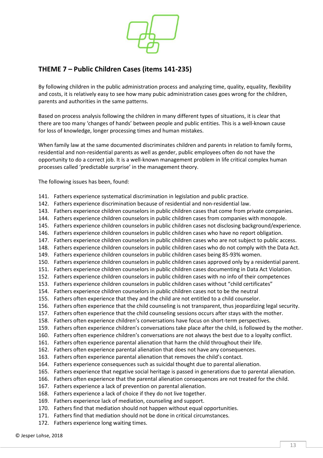

#### <span id="page-12-0"></span>**THEME 7 – Public Children Cases (items 141-235)**

By following children in the public administration process and analyzing time, quality, equality, flexibility and costs, it is relatively easy to see how many pubic administration cases goes wrong for the children, parents and authorities in the same patterns.

Based on process analysis following the children in many different types of situations, it is clear that there are too many 'changes of hands' between people and public entities. This is a well-known cause for loss of knowledge, longer processing times and human mistakes.

When family law at the same documented discriminates children and parents in relation to family forms, residential and non-residential parents as well as gender, public employees often do not have the opportunity to do a correct job. It is a well-known management problem in life critical complex human processes called 'predictable surprise' in the management theory.

- 141. Fathers experience systematical discrimination in legislation and public practice.
- 142. Fathers experience discrimination because of residential and non-residential law.
- 143. Fathers experience children counselors in public children cases that come from private companies.
- 144. Fathers experience children counselors in public children cases from companies with monopole.
- 145. Fathers experience children counselors in public children cases not disclosing background/experience.
- 146. Fathers experience children counselors in public children cases who have no report obligation.
- 147. Fathers experience children counselors in public children cases who are not subject to public access.
- 148. Fathers experience children counselors in public children cases who do not comply with the Data Act.
- 149. Fathers experience children counselors in public children cases being 85-93% women.
- 150. Fathers experience children counselors in public children cases approved only by a residential parent.
- 151. Fathers experience children counselors in public children cases documenting in Data Act Violation.
- 152. Fathers experience children counselors in public children cases with no info of their competences
- 153. Fathers experience children counselors in public children cases without "child certificates"
- 154. Fathers experience children counselors in public children cases not to be the neutral
- 155. Fathers often experience that they and the child are not entitled to a child counselor.
- 156. Fathers often experience that the child counseling is not transparent, thus jeopardizing legal security.
- 157. Fathers often experience that the child counseling sessions occurs after stays with the mother.
- 158. Fathers often experience children's conversations have focus on short-term perspectives.
- 159. Fathers often experience children's conversations take place after the child, is followed by the mother.
- 160. Fathers often experience children's conversations are not always the best due to a loyalty conflict.
- 161. Fathers often experience parental alienation that harm the child throughout their life.
- 162. Fathers often experience parental alienation that does not have any consequences.
- 163. Fathers often experience parental alienation that removes the child's contact.
- 164. Fathers experience consequences such as suicidal thought due to parental alienation.
- 165. Fathers experience that negative social heritage is passed in generations due to parental alienation.
- 166. Fathers often experience that the parental alienation consequences are not treated for the child.
- 167. Fathers experience a lack of prevention on parental alienation.
- 168. Fathers experience a lack of choice if they do not live together.
- 169. Fathers experience lack of mediation, counseling and support.
- 170. Fathers find that mediation should not happen without equal opportunities.
- 171. Fathers find that mediation should not be done in critical circumstances.
- 172. Fathers experience long waiting times.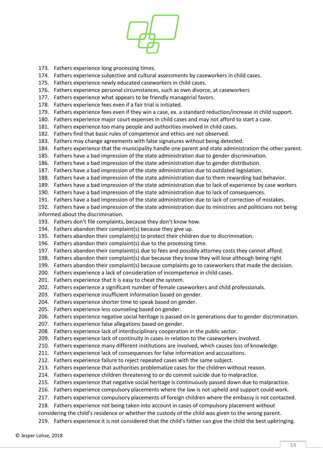

- 173. Fathers experience long processing times.
- 174. Fathers experience subjective and cultural assessments by caseworkers in child cases.
- 175. Fathers experience newly educated caseworkers in child cases.
- 176. Fathers experience personal circumstances, such as own divorce, at caseworkers
- 177. Fathers experience what appears to be friendly managerial favors.
- 178. Fathers experience fees even if a fair trial is initiated.
- 179. Fathers experience fees even if they win a case, ex. a standard reduction/increase in child support.
- 180. Fathers experience major court expenses in child cases and may not afford to start a case.
- 181. Fathers experience too many people and authorities involved in child cases.
- 182. Fathers find that basic rules of competence and ethics are not observed.
- 183. Fathers may change agreements with false signatures without being detected.
- 184. Fathers experience that the municipality handle one parent and state administration the other parent.
- 185. Fathers have a bad impression of the state administration due to gender discrimination.
- 186. Fathers have a bad impression of the state administration due to gender distribution.
- 187. Fathers have a bad impression of the state administration due to outdated legislation.
- 188. Fathers have a bad impression of the state administration due to them rewarding bad behavior.
- 189. Fathers have a bad impression of the state administration due to lack of experience by case workers
- 190. Fathers have a bad impression of the state administration due to lack of consequences.
- 191. Fathers have a bad impression of the state administration due to lack of correction of mistakes.
- 192. Fathers have a bad impression of the state administration due to ministries and politicians not being informed about the discrimination.
- 193. Fathers don't file complaints, because they don't know how.
- 194. Fathers abandon their complaint(s) because they give up.
- 195. Fathers abandon their complaint(s) to protect their children due to discrimination.
- 196. Fathers abandon their complaint(s) due to the processing time.
- 197. Fathers abandon their complaint(s) due to fees and possibly attorney costs they cannot afford.
- 198. Fathers abandon their complaint(s) due because they know they will lose although being right
- 199. Fathers abandon their complaint(s) because complaints go to caseworkers that made the decision.
- 200. Fathers experience a lack of consideration of incompetence in child cases.
- 201. Fathers experience that it is easy to cheat the system.
- 202. Fathers experience a significant number of female caseworkers and child professionals.
- 203. Fathers experience insufficient information based on gender.
- 204. Fathers experience shorter time to speak based on gender.
- 205. Fathers experience less counseling based on gender.
- 206. Fathers experience negative social heritage is passed on in generations due to gender discrimination.
- 207. Fathers experience false allegations based on gender.
- 208. Fathers experience lack of interdisciplinary cooperation in the public sector.
- 209. Fathers experience lack of continuity in cases in relation to the caseworkers involved.
- 210. Fathers experience many different institutions are involved, which causes loss of knowledge.
- 211. Fathers experience lack of consequences for false information and accusations.
- 212. Fathers experience failure to reject repeated cases with the same subject.
- 213. Fathers experience that authorities problematize cases for the children without reason.
- 214. Fathers experience children threatening to or do commit suicide due to malpractice.
- 215. Fathers experience that negative social heritage is continuously passed down due to malpractice.
- 216. Fathers experience compulsory placements where the law is not upheld and support could work.
- 217. Fathers experience compulsory placements of foreign children where the embassy is not contacted.
- 218. Fathers experience not being taken into account in cases of compulsory placement without

considering the child's residence or whether the custody of the child was given to the wrong parent.

219. Fathers experience it is not considered that the child's father can give the child the best upbringing.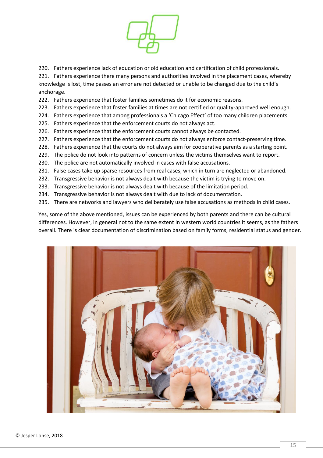

220. Fathers experience lack of education or old education and certification of child professionals.

221. Fathers experience there many persons and authorities involved in the placement cases, whereby knowledge is lost, time passes an error are not detected or unable to be changed due to the child's anchorage.

- 222. Fathers experience that foster families sometimes do it for economic reasons.
- 223. Fathers experience that foster families at times are not certified or quality-approved well enough.
- 224. Fathers experience that among professionals a 'Chicago Effect' of too many children placements.
- 225. Fathers experience that the enforcement courts do not always act.
- 226. Fathers experience that the enforcement courts cannot always be contacted.
- 227. Fathers experience that the enforcement courts do not always enforce contact-preserving time.
- 228. Fathers experience that the courts do not always aim for cooperative parents as a starting point.
- 229. The police do not look into patterns of concern unless the victims themselves want to report.
- 230. The police are not automatically involved in cases with false accusations.
- 231. False cases take up sparse resources from real cases, which in turn are neglected or abandoned.
- 232. Transgressive behavior is not always dealt with because the victim is trying to move on.
- 233. Transgressive behavior is not always dealt with because of the limitation period.
- 234. Transgressive behavior is not always dealt with due to lack of documentation.
- 235. There are networks and lawyers who deliberately use false accusations as methods in child cases.

Yes, some of the above mentioned, issues can be experienced by both parents and there can be cultural differences. However, in general not to the same extent in western world countries it seems, as the fathers overall. There is clear documentation of discrimination based on family forms, residential status and gender.

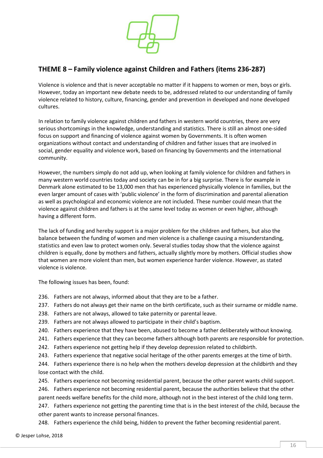

#### <span id="page-15-0"></span>**THEME 8 – Family violence against Children and Fathers (items 236-287)**

Violence is violence and that is never acceptable no matter if it happens to women or men, boys or girls. However, today an important new debate needs to be, addressed related to our understanding of family violence related to history, culture, financing, gender and prevention in developed and none developed cultures.

In relation to family violence against children and fathers in western world countries, there are very serious shortcomings in the knowledge, understanding and statistics. There is still an almost one-sided focus on support and financing of violence against women by Governments. It is often women organizations without contact and understanding of children and father issues that are involved in social, gender equality and violence work, based on financing by Governments and the international community.

However, the numbers simply do not add up, when looking at family violence for children and fathers in many western world countries today and society can be in for a big surprise. There is for example in Denmark alone estimated to be 13,000 men that has experienced physically violence in families, but the even larger amount of cases with 'public violence' in the form of discrimination and parental alienation as well as psychological and economic violence are not included. These number could mean that the violence against children and fathers is at the same level today as women or even higher, although having a different form.

The lack of funding and hereby support is a major problem for the children and fathers, but also the balance between the funding of women and men violence is a challenge causing a misunderstanding, statistics and even law to protect women only. Several studies today show that the violence against children is equally, done by mothers and fathers, actually slightly more by mothers. Official studies show that women are more violent than men, but women experience harder violence. However, as stated violence is violence.

The following issues has been, found:

- 236. Fathers are not always, informed about that they are to be a father.
- 237. Fathers do not always get their name on the birth certificate, such as their surname or middle name.
- 238. Fathers are not always, allowed to take paternity or parental leave.
- 239. Fathers are not always allowed to participate in their child's baptism.
- 240. Fathers experience that they have been, abused to become a father deliberately without knowing.
- 241. Fathers experience that they can become fathers although both parents are responsible for protection.
- 242. Fathers experience not getting help if they develop depression related to childbirth.
- 243. Fathers experience that negative social heritage of the other parents emerges at the time of birth.
- 244. Fathers experience there is no help when the mothers develop depression at the childbirth and they lose contact with the child.

245. Fathers experience not becoming residential parent, because the other parent wants child support.

246. Fathers experience not becoming residential parent, because the authorities believe that the other parent needs welfare benefits for the child more, although not in the best interest of the child long term.

247. Fathers experience not getting the parenting time that is in the best interest of the child, because the other parent wants to increase personal finances.

248. Fathers experience the child being, hidden to prevent the father becoming residential parent.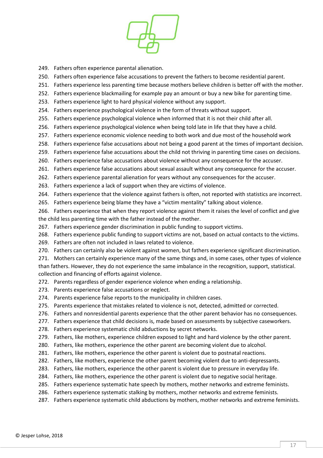

- 249. Fathers often experience parental alienation.
- 250. Fathers often experience false accusations to prevent the fathers to become residential parent.
- 251. Fathers experience less parenting time because mothers believe children is better off with the mother.
- 252. Fathers experience blackmailing for example pay an amount or buy a new bike for parenting time.
- 253. Fathers experience light to hard physical violence without any support.
- 254. Fathers experience psychological violence in the form of threats without support.
- 255. Fathers experience psychological violence when informed that it is not their child after all.
- 256. Fathers experience psychological violence when being told late in life that they have a child.
- 257. Fathers experience economic violence needing to both work and due most of the household work
- 258. Fathers experience false accusations about not being a good parent at the times of important decision.
- 259. Fathers experience false accusations about the child not thriving in parenting time cases on decisions.
- 260. Fathers experience false accusations about violence without any consequence for the accuser.
- 261. Fathers experience false accusations about sexual assault without any consequence for the accuser.
- 262. Fathers experience parental alienation for years without any consequences for the accuser.
- 263. Fathers experience a lack of support when they are victims of violence.
- 264. Fathers experience that the violence against fathers is often, not reported with statistics are incorrect.
- 265. Fathers experience being blame they have a "victim mentality" talking about violence.
- 266. Fathers experience that when they report violence against them it raises the level of conflict and give the child less parenting time with the father instead of the mother.
- 267. Fathers experience gender discrimination in public funding to support victims.
- 268. Fathers experience public funding to support victims are not, based on actual contacts to the victims.
- 269. Fathers are often not included in laws related to violence.
- 270. Fathers can certainly also be violent against women, but fathers experience significant discrimination.
- 271. Mothers can certainly experience many of the same things and, in some cases, other types of violence than fathers. However, they do not experience the same imbalance in the recognition, support, statistical. collection and financing of efforts against violence.
- 272. Parents regardless of gender experience violence when ending a relationship.
- 273. Parents experience false accusations or neglect.
- 274. Parents experience false reports to the municipality in children cases.
- 275. Parents experience that mistakes related to violence is not, detected, admitted or corrected.
- 276. Fathers and nonresidential parents experience that the other parent behavior has no consequences.
- 277. Fathers experience that child decisions is, made based on assessments by subjective caseworkers.
- 278. Fathers experience systematic child abductions by secret networks.
- 279. Fathers, like mothers, experience children exposed to light and hard violence by the other parent.
- 280. Fathers, like mothers, experience the other parent are becoming violent due to alcohol.
- 281. Fathers, like mothers, experience the other parent is violent due to postnatal reactions.
- 282. Fathers, like mothers, experience the other parent becoming violent due to anti-depressants.
- 283. Fathers, like mothers, experience the other parent is violent due to pressure in everyday life.
- 284. Fathers, like mothers, experience the other parent is violent due to negative social heritage.
- 285. Fathers experience systematic hate speech by mothers, mother networks and extreme feminists.
- 286. Fathers experience systematic stalking by mothers, mother networks and extreme feminists.
- 287. Fathers experience systematic child abductions by mothers, mother networks and extreme feminists.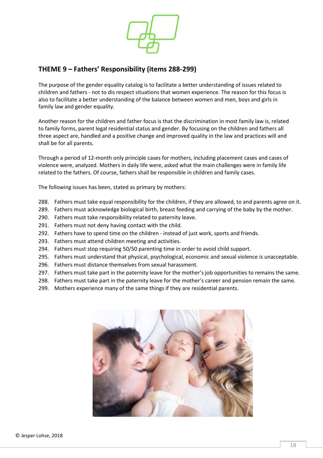

#### <span id="page-17-0"></span>**THEME 9 – Fathers' Responsibility (items 288-299)**

The purpose of the gender equality catalog is to facilitate a better understanding of issues related to children and fathers - not to dis respect situations that women experience. The reason for this focus is also to facilitate a better understanding of the balance between women and men, boys and girls in family law and gender equality.

Another reason for the children and father focus is that the discrimination in most family law is, related to family forms, parent legal residential status and gender. By focusing on the children and fathers all three aspect are, handled and a positive change and improved quality in the law and practices will and shall be for all parents.

Through a period of 12-month only principle cases for mothers, including placement cases and cases of violence were, analyzed. Mothers in daily life were, asked what the main challenges were in family life related to the fathers. Of course, fathers shall be responsible in children and family cases.

The following issues has been, stated as primary by mothers:

- 288. Fathers must take equal responsibility for the children, if they are allowed, to and parents agree on it.
- 289. Fathers must acknowledge biological birth, breast feeding and carrying of the baby by the mother.
- 290. Fathers must take responsibility related to paternity leave.
- 291. Fathers must not deny having contact with the child.
- 292. Fathers have to spend time on the children instead of just work, sports and friends.
- 293. Fathers must attend children meeting and activities.
- 294. Fathers must stop requiring 50/50 parenting time in order to avoid child support.
- 295. Fathers must understand that physical, psychological, economic and sexual violence is unacceptable.
- 296. Fathers must distance themselves from sexual harassment.
- 297. Fathers must take part in the paternity leave for the mother's job opportunities to remains the same.
- 298. Fathers must take part in the paternity leave for the mother's career and pension remain the same.
- 299. Mothers experience many of the same things if they are residential parents.

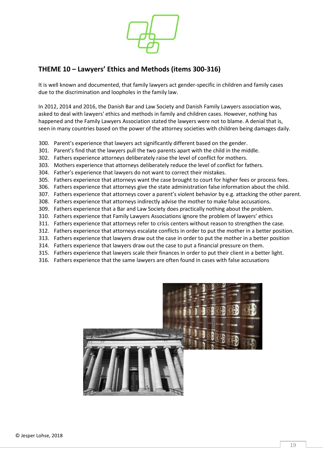

#### <span id="page-18-0"></span>**THEME 10 – Lawyers' Ethics and Methods (items 300-316)**

It is well known and documented, that family lawyers act gender-specific in children and family cases due to the discrimination and loopholes in the family law.

In 2012, 2014 and 2016, the Danish Bar and Law Society and Danish Family Lawyers association was, asked to deal with lawyers' ethics and methods in family and children cases. However, nothing has happened and the Family Lawyers Association stated the lawyers were not to blame. A denial that is, seen in many countries based on the power of the attorney societies with children being damages daily.

- 300. Parent's experience that lawyers act significantly different based on the gender.
- 301. Parent's find that the lawyers pull the two parents apart with the child in the middle.
- 302. Fathers experience attorneys deliberately raise the level of conflict for mothers.
- 303. Mothers experience that attorneys deliberately reduce the level of conflict for fathers.
- 304. Father's experience that lawyers do not want to correct their mistakes.
- 305. Fathers experience that attorneys want the case brought to court for higher fees or process fees.
- 306. Fathers experience that attorneys give the state administration false information about the child.
- 307. Fathers experience that attorneys cover a parent's violent behavior by e.g. attacking the other parent.
- 308. Fathers experience that attorneys indirectly advise the mother to make false accusations.
- 309. Fathers experience that a Bar and Law Society does practically nothing about the problem.
- 310. Fathers experience that Family Lawyers Associations ignore the problem of lawyers' ethics
- 311. Fathers experience that attorneys refer to crisis centers without reason to strengthen the case.
- 312. Fathers experience that attorneys escalate conflicts in order to put the mother in a better position.
- 313. Fathers experience that lawyers draw out the case in order to put the mother in a better position
- 314. Fathers experience that lawyers draw out the case to put a financial pressure on them.
- 315. Fathers experience that lawyers scale their finances in order to put their client in a better light.
- 316. Fathers experience that the same lawyers are often found in cases with false accusations

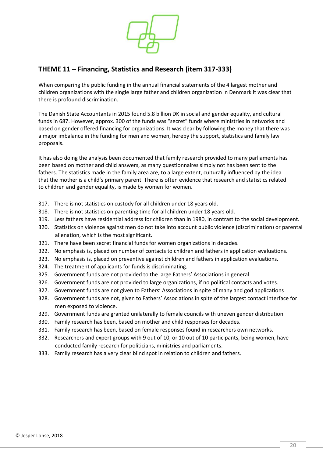

#### <span id="page-19-0"></span>**THEME 11 – Financing, Statistics and Research (item 317-333)**

When comparing the public funding in the annual financial statements of the 4 largest mother and children organizations with the single large father and children organization in Denmark it was clear that there is profound discrimination.

The Danish State Accountants in 2015 found 5.8 billion DK in social and gender equality, and cultural funds in 687. However, approx. 300 of the funds was "secret" funds where ministries in networks and based on gender offered financing for organizations. It was clear by following the money that there was a major imbalance in the funding for men and women, hereby the support, statistics and family law proposals.

It has also doing the analysis been documented that family research provided to many parliaments has been based on mother and child answers, as many questionnaires simply not has been sent to the fathers. The statistics made in the family area are, to a large extent, culturally influenced by the idea that the mother is a child's primary parent. There is often evidence that research and statistics related to children and gender equality, is made by women for women.

- 317. There is not statistics on custody for all children under 18 years old.
- 318. There is not statistics on parenting time for all children under 18 years old.
- 319. Less fathers have residential address for children than in 1980, in contrast to the social development.
- 320. Statistics on violence against men do not take into account public violence (discrimination) or parental alienation, which is the most significant.
- 321. There have been secret financial funds for women organizations in decades.
- 322. No emphasis is, placed on number of contacts to children and fathers in application evaluations.
- 323. No emphasis is, placed on preventive against children and fathers in application evaluations.
- 324. The treatment of applicants for funds is discriminating.
- 325. Government funds are not provided to the large Fathers' Associations in general
- 326. Government funds are not provided to large organizations, if no political contacts and votes.
- 327. Government funds are not given to Fathers' Associations in spite of many and god applications
- 328. Government funds are not, given to Fathers' Associations in spite of the largest contact interface for men exposed to violence.
- 329. Government funds are granted unilaterally to female councils with uneven gender distribution
- 330. Family research has been, based on mother and child responses for decades.
- 331. Family research has been, based on female responses found in researchers own networks.
- 332. Researchers and expert groups with 9 out of 10, or 10 out of 10 participants, being women, have conducted family research for politicians, ministries and parliaments.
- 333. Family research has a very clear blind spot in relation to children and fathers.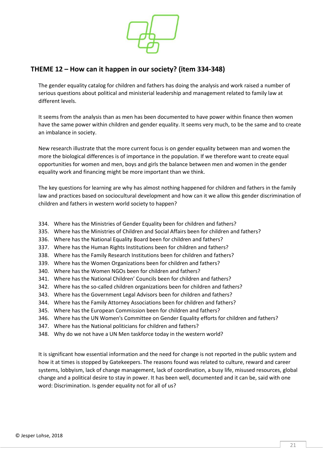

#### <span id="page-20-0"></span>**THEME 12 – How can it happen in our society? (item 334-348)**

The gender equality catalog for children and fathers has doing the analysis and work raised a number of serious questions about political and ministerial leadership and management related to family law at different levels.

It seems from the analysis than as men has been documented to have power within finance then women have the same power within children and gender equality. It seems very much, to be the same and to create an imbalance in society.

New research illustrate that the more current focus is on gender equality between man and women the more the biological differences is of importance in the population. If we therefore want to create equal opportunities for women and men, boys and girls the balance between men and women in the gender equality work and financing might be more important than we think.

The key questions for learning are why has almost nothing happened for children and fathers in the family law and practices based on sociocultural development and how can it we allow this gender discrimination of children and fathers in western world society to happen?

- 334. Where has the Ministries of Gender Equality been for children and fathers?
- 335. Where has the Ministries of Children and Social Affairs been for children and fathers?
- 336. Where has the National Equality Board been for children and fathers?
- 337. Where has the Human Rights Institutions been for children and fathers?
- 338. Where has the Family Research Institutions been for children and fathers?
- 339. Where has the Women Organizations been for children and fathers?
- 340. Where has the Women NGOs been for children and fathers?
- 341. Where has the National Children' Councils been for children and fathers?
- 342. Where has the so-called children organizations been for children and fathers?
- 343. Where has the Government Legal Advisors been for children and fathers?
- 344. Where has the Family Attorney Associations been for children and fathers?
- 345. Where has the European Commission been for children and fathers?
- 346. Where has the UN Women's Committee on Gender Equality efforts for children and fathers?
- 347. Where has the National politicians for children and fathers?
- 348. Why do we not have a UN Men taskforce today in the western world?

It is significant how essential information and the need for change is not reported in the public system and how it at times is stopped by Gatekeepers. The reasons found was related to culture, reward and career systems, lobbyism, lack of change management, lack of coordination, a busy life, misused resources, global change and a political desire to stay in power. It has been well, documented and it can be, said with one word: Discrimination. Is gender equality not for all of us?